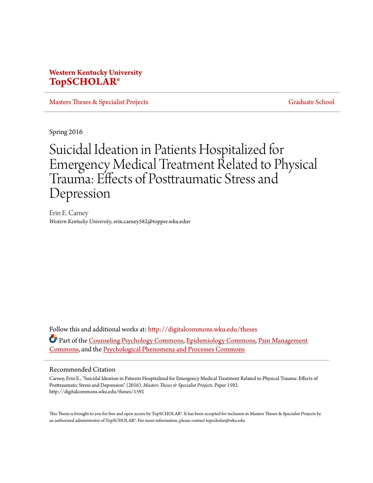# **Western Kentucky University [TopSCHOLAR®](http://digitalcommons.wku.edu?utm_source=digitalcommons.wku.edu%2Ftheses%2F1592&utm_medium=PDF&utm_campaign=PDFCoverPages)**

[Masters Theses & Specialist Projects](http://digitalcommons.wku.edu/theses?utm_source=digitalcommons.wku.edu%2Ftheses%2F1592&utm_medium=PDF&utm_campaign=PDFCoverPages) [Graduate School](http://digitalcommons.wku.edu/Graduate?utm_source=digitalcommons.wku.edu%2Ftheses%2F1592&utm_medium=PDF&utm_campaign=PDFCoverPages)

Spring 2016

# Suicidal Ideation in Patients Hospitalized for Emergency Medical Treatment Related to Physical Trauma: Effects of Posttraumatic Stress and Depression

Erin E. Carney *Western Kentucky University*, erin.carney582@topper.wku.eduv

Follow this and additional works at: [http://digitalcommons.wku.edu/theses](http://digitalcommons.wku.edu/theses?utm_source=digitalcommons.wku.edu%2Ftheses%2F1592&utm_medium=PDF&utm_campaign=PDFCoverPages) Part of the [Counseling Psychology Commons](http://network.bepress.com/hgg/discipline/1044?utm_source=digitalcommons.wku.edu%2Ftheses%2F1592&utm_medium=PDF&utm_campaign=PDFCoverPages), [Epidemiology Commons](http://network.bepress.com/hgg/discipline/740?utm_source=digitalcommons.wku.edu%2Ftheses%2F1592&utm_medium=PDF&utm_campaign=PDFCoverPages), [Pain Management](http://network.bepress.com/hgg/discipline/1274?utm_source=digitalcommons.wku.edu%2Ftheses%2F1592&utm_medium=PDF&utm_campaign=PDFCoverPages) [Commons,](http://network.bepress.com/hgg/discipline/1274?utm_source=digitalcommons.wku.edu%2Ftheses%2F1592&utm_medium=PDF&utm_campaign=PDFCoverPages) and the [Psychological Phenomena and Processes Commons](http://network.bepress.com/hgg/discipline/914?utm_source=digitalcommons.wku.edu%2Ftheses%2F1592&utm_medium=PDF&utm_campaign=PDFCoverPages)

#### Recommended Citation

Carney, Erin E., "Suicidal Ideation in Patients Hospitalized for Emergency Medical Treatment Related to Physical Trauma: Effects of Posttraumatic Stress and Depression" (2016). *Masters Theses & Specialist Projects.* Paper 1592. http://digitalcommons.wku.edu/theses/1592

This Thesis is brought to you for free and open access by TopSCHOLAR®. It has been accepted for inclusion in Masters Theses & Specialist Projects by an authorized administrator of TopSCHOLAR®. For more information, please contact topscholar@wku.edu.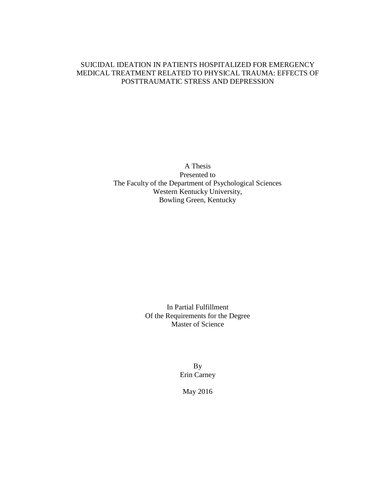### SUICIDAL IDEATION IN PATIENTS HOSPITALIZED FOR EMERGENCY MEDICAL TREATMENT RELATED TO PHYSICAL TRAUMA: EFFECTS OF POSTTRAUMATIC STRESS AND DEPRESSION

A Thesis Presented to The Faculty of the Department of Psychological Sciences Western Kentucky University, Bowling Green, Kentucky

> In Partial Fulfillment Of the Requirements for the Degree Master of Science

> > By Erin Carney

May 2016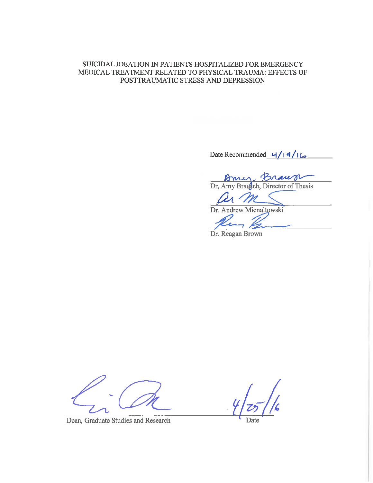#### SUICIDAL IDEATION IN PATIENTS HOSPITALIZED FOR EMERGENCY MEDICAL TREATMENT RELATED TO PHYSICAL TRAUMA: EFFECTS OF POSTTRAUMATIC STRESS AND DEPRESSION

Date Recommended  $4/19/16$ 

Braug Brauge

Un m

Dr. Andrew Mienaltowski

Dr. Reagan Brown

Dean, Graduate Studies and Research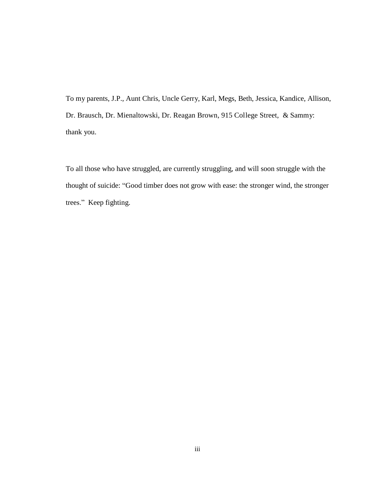To my parents, J.P., Aunt Chris, Uncle Gerry, Karl, Megs, Beth, Jessica, Kandice, Allison, Dr. Brausch, Dr. Mienaltowski, Dr. Reagan Brown, 915 College Street, & Sammy: thank you.

To all those who have struggled, are currently struggling, and will soon struggle with the thought of suicide: "Good timber does not grow with ease: the stronger wind, the stronger trees." Keep fighting.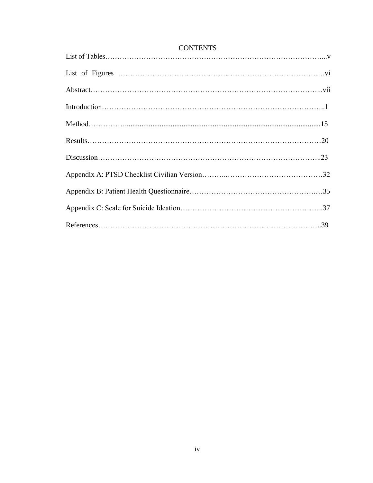### **CONTENTS**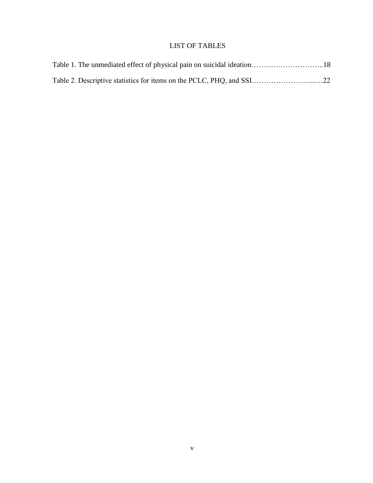# LIST OF TABLES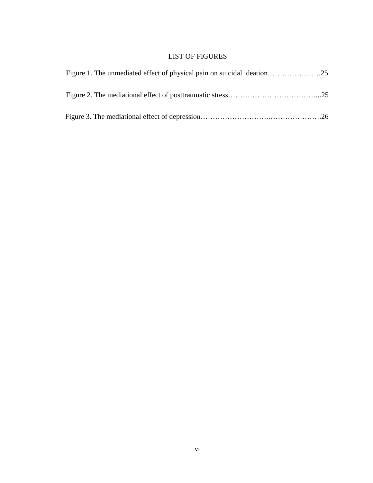## LIST OF FIGURES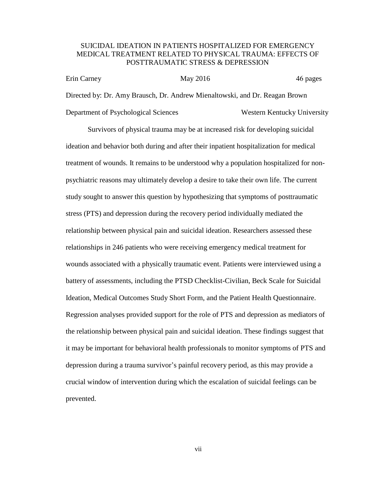#### SUICIDAL IDEATION IN PATIENTS HOSPITALIZED FOR EMERGENCY MEDICAL TREATMENT RELATED TO PHYSICAL TRAUMA: EFFECTS OF POSTTRAUMATIC STRESS & DEPRESSION

| Erin Carney                          | May 2016 | 46 pages                                                                    |
|--------------------------------------|----------|-----------------------------------------------------------------------------|
|                                      |          | Directed by: Dr. Amy Brausch, Dr. Andrew Mienaltowski, and Dr. Reagan Brown |
| Department of Psychological Sciences |          | Western Kentucky University                                                 |

Survivors of physical trauma may be at increased risk for developing suicidal ideation and behavior both during and after their inpatient hospitalization for medical treatment of wounds. It remains to be understood why a population hospitalized for nonpsychiatric reasons may ultimately develop a desire to take their own life. The current study sought to answer this question by hypothesizing that symptoms of posttraumatic stress (PTS) and depression during the recovery period individually mediated the relationship between physical pain and suicidal ideation. Researchers assessed these relationships in 246 patients who were receiving emergency medical treatment for wounds associated with a physically traumatic event. Patients were interviewed using a battery of assessments, including the PTSD Checklist-Civilian, Beck Scale for Suicidal Ideation, Medical Outcomes Study Short Form, and the Patient Health Questionnaire. Regression analyses provided support for the role of PTS and depression as mediators of the relationship between physical pain and suicidal ideation. These findings suggest that it may be important for behavioral health professionals to monitor symptoms of PTS and depression during a trauma survivor's painful recovery period, as this may provide a crucial window of intervention during which the escalation of suicidal feelings can be prevented.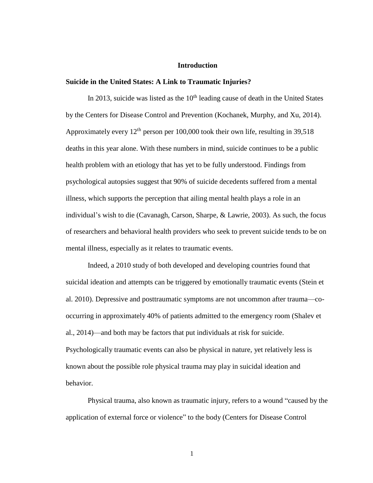#### **Introduction**

#### **Suicide in the United States: A Link to Traumatic Injuries?**

In 2013, suicide was listed as the 10<sup>th</sup> leading cause of death in the United States by the Centers for Disease Control and Prevention (Kochanek, Murphy, and Xu, 2014). Approximately every  $12<sup>th</sup>$  person per 100,000 took their own life, resulting in 39,518 deaths in this year alone. With these numbers in mind, suicide continues to be a public health problem with an etiology that has yet to be fully understood. Findings from psychological autopsies suggest that 90% of suicide decedents suffered from a mental illness, which supports the perception that ailing mental health plays a role in an individual's wish to die (Cavanagh, Carson, Sharpe, & Lawrie, 2003). As such, the focus of researchers and behavioral health providers who seek to prevent suicide tends to be on mental illness, especially as it relates to traumatic events.

Indeed, a 2010 study of both developed and developing countries found that suicidal ideation and attempts can be triggered by emotionally traumatic events (Stein et al. 2010). Depressive and posttraumatic symptoms are not uncommon after trauma—cooccurring in approximately 40% of patients admitted to the emergency room (Shalev et al., 2014)—and both may be factors that put individuals at risk for suicide. Psychologically traumatic events can also be physical in nature, yet relatively less is known about the possible role physical trauma may play in suicidal ideation and behavior.

Physical trauma, also known as traumatic injury, refers to a wound "caused by the application of external force or violence" to the body (Centers for Disease Control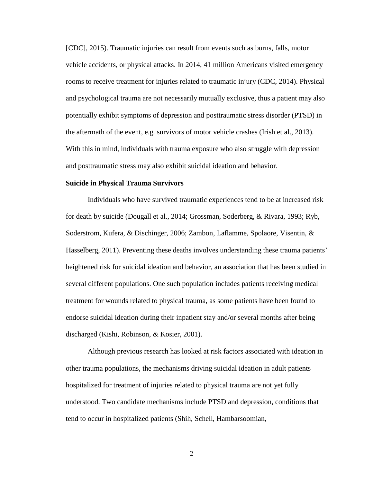[CDC], 2015). Traumatic injuries can result from events such as burns, falls, motor vehicle accidents, or physical attacks. In 2014, 41 million Americans visited emergency rooms to receive treatment for injuries related to traumatic injury (CDC, 2014). Physical and psychological trauma are not necessarily mutually exclusive, thus a patient may also potentially exhibit symptoms of depression and posttraumatic stress disorder (PTSD) in the aftermath of the event, e.g. survivors of motor vehicle crashes (Irish et al., 2013). With this in mind, individuals with trauma exposure who also struggle with depression and posttraumatic stress may also exhibit suicidal ideation and behavior.

#### **Suicide in Physical Trauma Survivors**

Individuals who have survived traumatic experiences tend to be at increased risk for death by suicide (Dougall et al., 2014; Grossman, Soderberg, & Rivara, 1993; Ryb, Soderstrom, Kufera, & Dischinger, 2006; Zambon, Laflamme, Spolaore, Visentin, & Hasselberg, 2011). Preventing these deaths involves understanding these trauma patients' heightened risk for suicidal ideation and behavior, an association that has been studied in several different populations. One such population includes patients receiving medical treatment for wounds related to physical trauma, as some patients have been found to endorse suicidal ideation during their inpatient stay and/or several months after being discharged (Kishi, Robinson, & Kosier, 2001).

Although previous research has looked at risk factors associated with ideation in other trauma populations, the mechanisms driving suicidal ideation in adult patients hospitalized for treatment of injuries related to physical trauma are not yet fully understood. Two candidate mechanisms include PTSD and depression, conditions that tend to occur in hospitalized patients (Shih, Schell, Hambarsoomian,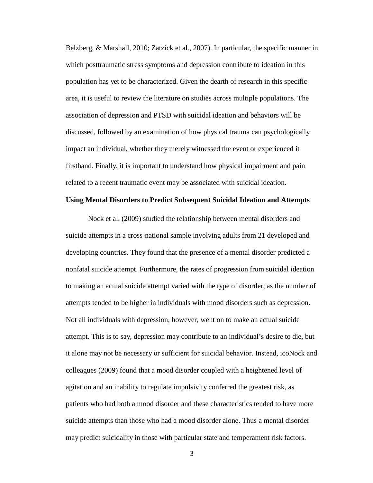Belzberg, & Marshall, 2010; Zatzick et al., 2007). In particular, the specific manner in which posttraumatic stress symptoms and depression contribute to ideation in this population has yet to be characterized. Given the dearth of research in this specific area, it is useful to review the literature on studies across multiple populations. The association of depression and PTSD with suicidal ideation and behaviors will be discussed, followed by an examination of how physical trauma can psychologically impact an individual, whether they merely witnessed the event or experienced it firsthand. Finally, it is important to understand how physical impairment and pain related to a recent traumatic event may be associated with suicidal ideation.

#### **Using Mental Disorders to Predict Subsequent Suicidal Ideation and Attempts**

Nock et al. (2009) studied the relationship between mental disorders and suicide attempts in a cross-national sample involving adults from 21 developed and developing countries. They found that the presence of a mental disorder predicted a nonfatal suicide attempt. Furthermore, the rates of progression from suicidal ideation to making an actual suicide attempt varied with the type of disorder, as the number of attempts tended to be higher in individuals with mood disorders such as depression. Not all individuals with depression, however, went on to make an actual suicide attempt. This is to say, depression may contribute to an individual's desire to die, but it alone may not be necessary or sufficient for suicidal behavior. Instead, icoNock and colleagues (2009) found that a mood disorder coupled with a heightened level of agitation and an inability to regulate impulsivity conferred the greatest risk, as patients who had both a mood disorder and these characteristics tended to have more suicide attempts than those who had a mood disorder alone. Thus a mental disorder may predict suicidality in those with particular state and temperament risk factors.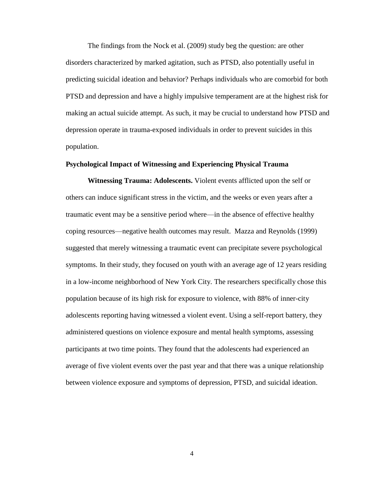The findings from the Nock et al. (2009) study beg the question: are other disorders characterized by marked agitation, such as PTSD, also potentially useful in predicting suicidal ideation and behavior? Perhaps individuals who are comorbid for both PTSD and depression and have a highly impulsive temperament are at the highest risk for making an actual suicide attempt. As such, it may be crucial to understand how PTSD and depression operate in trauma-exposed individuals in order to prevent suicides in this population.

#### **Psychological Impact of Witnessing and Experiencing Physical Trauma**

**Witnessing Trauma: Adolescents.** Violent events afflicted upon the self or others can induce significant stress in the victim, and the weeks or even years after a traumatic event may be a sensitive period where—in the absence of effective healthy coping resources—negative health outcomes may result. Mazza and Reynolds (1999) suggested that merely witnessing a traumatic event can precipitate severe psychological symptoms. In their study, they focused on youth with an average age of 12 years residing in a low-income neighborhood of New York City. The researchers specifically chose this population because of its high risk for exposure to violence, with 88% of inner-city adolescents reporting having witnessed a violent event. Using a self-report battery, they administered questions on violence exposure and mental health symptoms, assessing participants at two time points. They found that the adolescents had experienced an average of five violent events over the past year and that there was a unique relationship between violence exposure and symptoms of depression, PTSD, and suicidal ideation.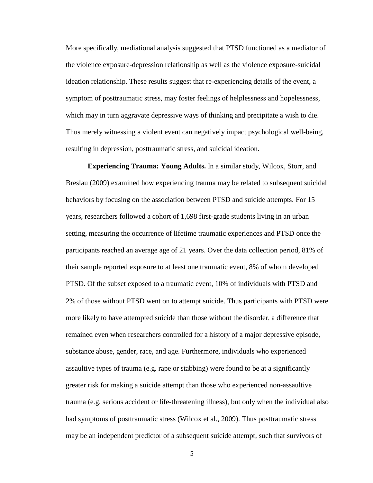More specifically, mediational analysis suggested that PTSD functioned as a mediator of the violence exposure-depression relationship as well as the violence exposure-suicidal ideation relationship. These results suggest that re-experiencing details of the event, a symptom of posttraumatic stress, may foster feelings of helplessness and hopelessness, which may in turn aggravate depressive ways of thinking and precipitate a wish to die. Thus merely witnessing a violent event can negatively impact psychological well-being, resulting in depression, posttraumatic stress, and suicidal ideation.

**Experiencing Trauma: Young Adults.** In a similar study, Wilcox, Storr, and Breslau (2009) examined how experiencing trauma may be related to subsequent suicidal behaviors by focusing on the association between PTSD and suicide attempts. For 15 years, researchers followed a cohort of 1,698 first-grade students living in an urban setting, measuring the occurrence of lifetime traumatic experiences and PTSD once the participants reached an average age of 21 years. Over the data collection period, 81% of their sample reported exposure to at least one traumatic event, 8% of whom developed PTSD. Of the subset exposed to a traumatic event, 10% of individuals with PTSD and 2% of those without PTSD went on to attempt suicide. Thus participants with PTSD were more likely to have attempted suicide than those without the disorder, a difference that remained even when researchers controlled for a history of a major depressive episode, substance abuse, gender, race, and age. Furthermore, individuals who experienced assaultive types of trauma (e.g. rape or stabbing) were found to be at a significantly greater risk for making a suicide attempt than those who experienced non-assaultive trauma (e.g. serious accident or life-threatening illness), but only when the individual also had symptoms of posttraumatic stress (Wilcox et al., 2009). Thus posttraumatic stress may be an independent predictor of a subsequent suicide attempt, such that survivors of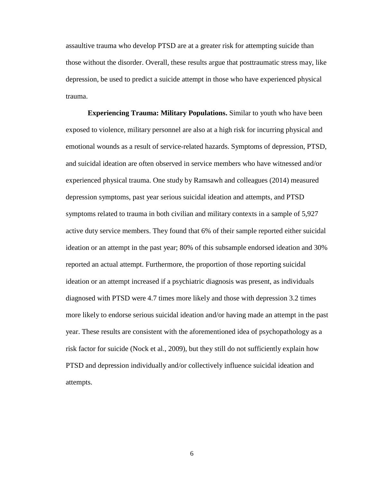assaultive trauma who develop PTSD are at a greater risk for attempting suicide than those without the disorder. Overall, these results argue that posttraumatic stress may, like depression, be used to predict a suicide attempt in those who have experienced physical trauma.

**Experiencing Trauma: Military Populations.** Similar to youth who have been exposed to violence, military personnel are also at a high risk for incurring physical and emotional wounds as a result of service-related hazards. Symptoms of depression, PTSD, and suicidal ideation are often observed in service members who have witnessed and/or experienced physical trauma. One study by Ramsawh and colleagues (2014) measured depression symptoms, past year serious suicidal ideation and attempts, and PTSD symptoms related to trauma in both civilian and military contexts in a sample of 5,927 active duty service members. They found that 6% of their sample reported either suicidal ideation or an attempt in the past year; 80% of this subsample endorsed ideation and 30% reported an actual attempt. Furthermore, the proportion of those reporting suicidal ideation or an attempt increased if a psychiatric diagnosis was present, as individuals diagnosed with PTSD were 4.7 times more likely and those with depression 3.2 times more likely to endorse serious suicidal ideation and/or having made an attempt in the past year. These results are consistent with the aforementioned idea of psychopathology as a risk factor for suicide (Nock et al., 2009), but they still do not sufficiently explain how PTSD and depression individually and/or collectively influence suicidal ideation and attempts.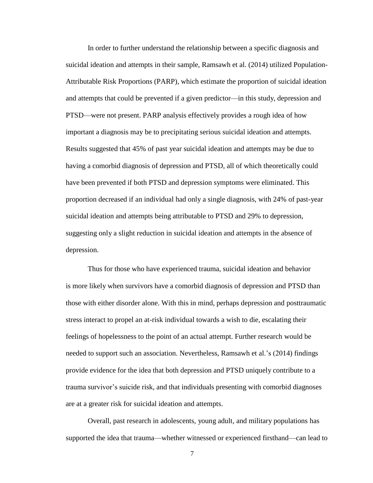In order to further understand the relationship between a specific diagnosis and suicidal ideation and attempts in their sample, Ramsawh et al. (2014) utilized Population-Attributable Risk Proportions (PARP), which estimate the proportion of suicidal ideation and attempts that could be prevented if a given predictor—in this study, depression and PTSD—were not present. PARP analysis effectively provides a rough idea of how important a diagnosis may be to precipitating serious suicidal ideation and attempts. Results suggested that 45% of past year suicidal ideation and attempts may be due to having a comorbid diagnosis of depression and PTSD, all of which theoretically could have been prevented if both PTSD and depression symptoms were eliminated. This proportion decreased if an individual had only a single diagnosis, with 24% of past-year suicidal ideation and attempts being attributable to PTSD and 29% to depression, suggesting only a slight reduction in suicidal ideation and attempts in the absence of depression.

Thus for those who have experienced trauma, suicidal ideation and behavior is more likely when survivors have a comorbid diagnosis of depression and PTSD than those with either disorder alone. With this in mind, perhaps depression and posttraumatic stress interact to propel an at-risk individual towards a wish to die, escalating their feelings of hopelessness to the point of an actual attempt. Further research would be needed to support such an association. Nevertheless, Ramsawh et al.'s (2014) findings provide evidence for the idea that both depression and PTSD uniquely contribute to a trauma survivor's suicide risk, and that individuals presenting with comorbid diagnoses are at a greater risk for suicidal ideation and attempts.

Overall, past research in adolescents, young adult, and military populations has supported the idea that trauma—whether witnessed or experienced firsthand—can lead to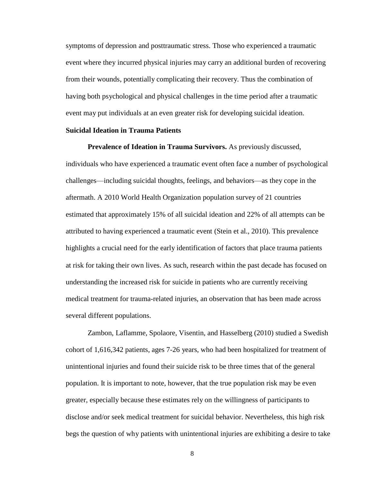symptoms of depression and posttraumatic stress. Those who experienced a traumatic event where they incurred physical injuries may carry an additional burden of recovering from their wounds, potentially complicating their recovery. Thus the combination of having both psychological and physical challenges in the time period after a traumatic event may put individuals at an even greater risk for developing suicidal ideation.

#### **Suicidal Ideation in Trauma Patients**

**Prevalence of Ideation in Trauma Survivors.** As previously discussed, individuals who have experienced a traumatic event often face a number of psychological challenges—including suicidal thoughts, feelings, and behaviors—as they cope in the aftermath. A 2010 World Health Organization population survey of 21 countries estimated that approximately 15% of all suicidal ideation and 22% of all attempts can be attributed to having experienced a traumatic event (Stein et al., 2010). This prevalence highlights a crucial need for the early identification of factors that place trauma patients at risk for taking their own lives. As such, research within the past decade has focused on understanding the increased risk for suicide in patients who are currently receiving medical treatment for trauma-related injuries, an observation that has been made across several different populations.

Zambon, Laflamme, Spolaore, Visentin, and Hasselberg (2010) studied a Swedish cohort of 1,616,342 patients, ages 7-26 years, who had been hospitalized for treatment of unintentional injuries and found their suicide risk to be three times that of the general population. It is important to note, however, that the true population risk may be even greater, especially because these estimates rely on the willingness of participants to disclose and/or seek medical treatment for suicidal behavior. Nevertheless, this high risk begs the question of why patients with unintentional injuries are exhibiting a desire to take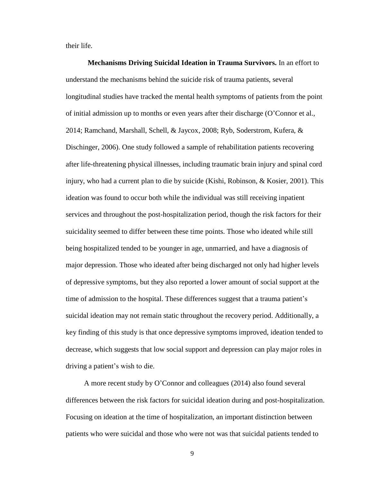their life.

**Mechanisms Driving Suicidal Ideation in Trauma Survivors.** In an effort to understand the mechanisms behind the suicide risk of trauma patients, several longitudinal studies have tracked the mental health symptoms of patients from the point of initial admission up to months or even years after their discharge (O'Connor et al., 2014; Ramchand, Marshall, Schell, & Jaycox, 2008; Ryb, Soderstrom, Kufera, & Dischinger, 2006). One study followed a sample of rehabilitation patients recovering after life-threatening physical illnesses, including traumatic brain injury and spinal cord injury, who had a current plan to die by suicide (Kishi, Robinson, & Kosier, 2001). This ideation was found to occur both while the individual was still receiving inpatient services and throughout the post-hospitalization period, though the risk factors for their suicidality seemed to differ between these time points. Those who ideated while still being hospitalized tended to be younger in age, unmarried, and have a diagnosis of major depression. Those who ideated after being discharged not only had higher levels of depressive symptoms, but they also reported a lower amount of social support at the time of admission to the hospital. These differences suggest that a trauma patient's suicidal ideation may not remain static throughout the recovery period. Additionally, a key finding of this study is that once depressive symptoms improved, ideation tended to decrease, which suggests that low social support and depression can play major roles in driving a patient's wish to die.

 A more recent study by O'Connor and colleagues (2014) also found several differences between the risk factors for suicidal ideation during and post-hospitalization. Focusing on ideation at the time of hospitalization, an important distinction between patients who were suicidal and those who were not was that suicidal patients tended to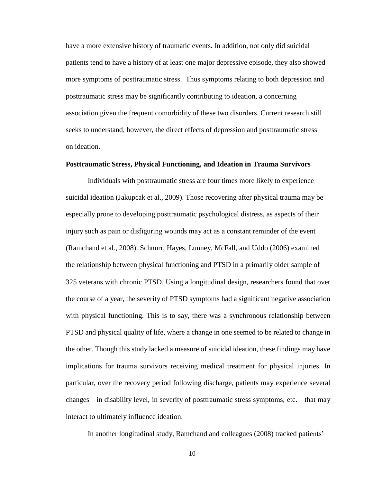have a more extensive history of traumatic events. In addition, not only did suicidal patients tend to have a history of at least one major depressive episode, they also showed more symptoms of posttraumatic stress. Thus symptoms relating to both depression and posttraumatic stress may be significantly contributing to ideation, a concerning association given the frequent comorbidity of these two disorders. Current research still seeks to understand, however, the direct effects of depression and posttraumatic stress on ideation.

#### **Posttraumatic Stress, Physical Functioning, and Ideation in Trauma Survivors**

Individuals with posttraumatic stress are four times more likely to experience suicidal ideation (Jakupcak et al., 2009). Those recovering after physical trauma may be especially prone to developing posttraumatic psychological distress, as aspects of their injury such as pain or disfiguring wounds may act as a constant reminder of the event (Ramchand et al., 2008). Schnurr, Hayes, Lunney, McFall, and Uddo (2006) examined the relationship between physical functioning and PTSD in a primarily older sample of 325 veterans with chronic PTSD. Using a longitudinal design, researchers found that over the course of a year, the severity of PTSD symptoms had a significant negative association with physical functioning. This is to say, there was a synchronous relationship between PTSD and physical quality of life, where a change in one seemed to be related to change in the other. Though this study lacked a measure of suicidal ideation, these findings may have implications for trauma survivors receiving medical treatment for physical injuries. In particular, over the recovery period following discharge, patients may experience several changes—in disability level, in severity of posttraumatic stress symptoms, etc.—that may interact to ultimately influence ideation.

In another longitudinal study, Ramchand and colleagues (2008) tracked patients'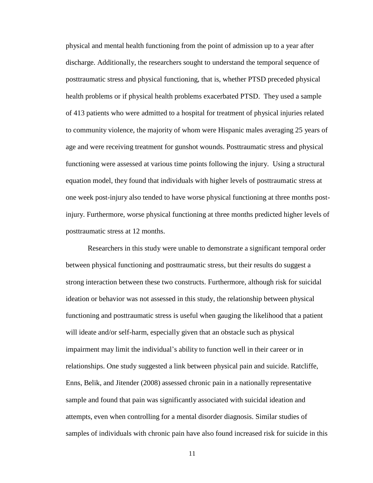physical and mental health functioning from the point of admission up to a year after discharge. Additionally, the researchers sought to understand the temporal sequence of posttraumatic stress and physical functioning, that is, whether PTSD preceded physical health problems or if physical health problems exacerbated PTSD. They used a sample of 413 patients who were admitted to a hospital for treatment of physical injuries related to community violence, the majority of whom were Hispanic males averaging 25 years of age and were receiving treatment for gunshot wounds. Posttraumatic stress and physical functioning were assessed at various time points following the injury. Using a structural equation model, they found that individuals with higher levels of posttraumatic stress at one week post-injury also tended to have worse physical functioning at three months postinjury. Furthermore, worse physical functioning at three months predicted higher levels of posttraumatic stress at 12 months.

Researchers in this study were unable to demonstrate a significant temporal order between physical functioning and posttraumatic stress, but their results do suggest a strong interaction between these two constructs. Furthermore, although risk for suicidal ideation or behavior was not assessed in this study, the relationship between physical functioning and posttraumatic stress is useful when gauging the likelihood that a patient will ideate and/or self-harm, especially given that an obstacle such as physical impairment may limit the individual's ability to function well in their career or in relationships. One study suggested a link between physical pain and suicide. Ratcliffe, Enns, Belik, and Jitender (2008) assessed chronic pain in a nationally representative sample and found that pain was significantly associated with suicidal ideation and attempts, even when controlling for a mental disorder diagnosis. Similar studies of samples of individuals with chronic pain have also found increased risk for suicide in this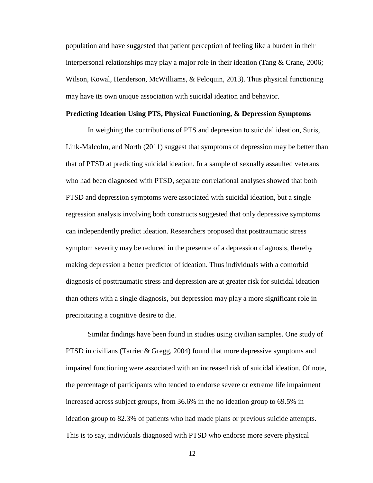population and have suggested that patient perception of feeling like a burden in their interpersonal relationships may play a major role in their ideation (Tang & Crane, 2006; Wilson, Kowal, Henderson, McWilliams, & Peloquin, 2013). Thus physical functioning may have its own unique association with suicidal ideation and behavior.

#### **Predicting Ideation Using PTS, Physical Functioning, & Depression Symptoms**

In weighing the contributions of PTS and depression to suicidal ideation, Suris, Link-Malcolm, and North (2011) suggest that symptoms of depression may be better than that of PTSD at predicting suicidal ideation. In a sample of sexually assaulted veterans who had been diagnosed with PTSD, separate correlational analyses showed that both PTSD and depression symptoms were associated with suicidal ideation, but a single regression analysis involving both constructs suggested that only depressive symptoms can independently predict ideation. Researchers proposed that posttraumatic stress symptom severity may be reduced in the presence of a depression diagnosis, thereby making depression a better predictor of ideation. Thus individuals with a comorbid diagnosis of posttraumatic stress and depression are at greater risk for suicidal ideation than others with a single diagnosis, but depression may play a more significant role in precipitating a cognitive desire to die.

Similar findings have been found in studies using civilian samples. One study of PTSD in civilians (Tarrier & Gregg, 2004) found that more depressive symptoms and impaired functioning were associated with an increased risk of suicidal ideation. Of note, the percentage of participants who tended to endorse severe or extreme life impairment increased across subject groups, from 36.6% in the no ideation group to 69.5% in ideation group to 82.3% of patients who had made plans or previous suicide attempts. This is to say, individuals diagnosed with PTSD who endorse more severe physical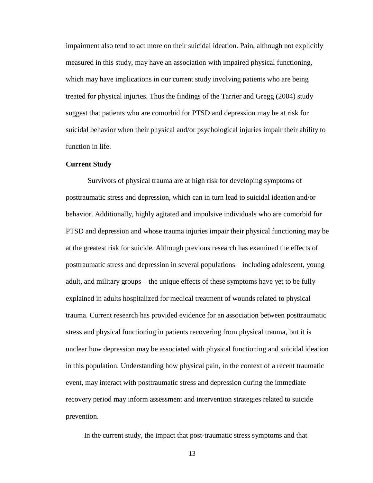impairment also tend to act more on their suicidal ideation. Pain, although not explicitly measured in this study, may have an association with impaired physical functioning, which may have implications in our current study involving patients who are being treated for physical injuries. Thus the findings of the Tarrier and Gregg (2004) study suggest that patients who are comorbid for PTSD and depression may be at risk for suicidal behavior when their physical and/or psychological injuries impair their ability to function in life.

#### **Current Study**

Survivors of physical trauma are at high risk for developing symptoms of posttraumatic stress and depression, which can in turn lead to suicidal ideation and/or behavior. Additionally, highly agitated and impulsive individuals who are comorbid for PTSD and depression and whose trauma injuries impair their physical functioning may be at the greatest risk for suicide. Although previous research has examined the effects of posttraumatic stress and depression in several populations—including adolescent, young adult, and military groups—the unique effects of these symptoms have yet to be fully explained in adults hospitalized for medical treatment of wounds related to physical trauma. Current research has provided evidence for an association between posttraumatic stress and physical functioning in patients recovering from physical trauma, but it is unclear how depression may be associated with physical functioning and suicidal ideation in this population. Understanding how physical pain, in the context of a recent traumatic event, may interact with posttraumatic stress and depression during the immediate recovery period may inform assessment and intervention strategies related to suicide prevention.

In the current study, the impact that post-traumatic stress symptoms and that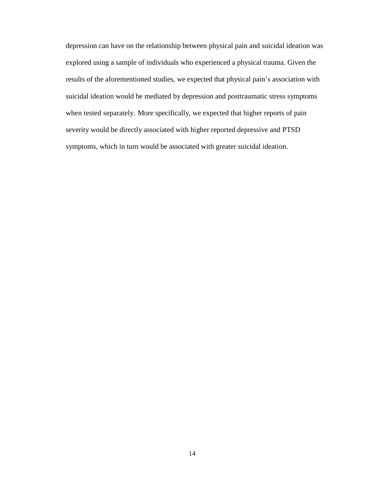depression can have on the relationship between physical pain and suicidal ideation was explored using a sample of individuals who experienced a physical trauma. Given the results of the aforementioned studies, we expected that physical pain's association with suicidal ideation would be mediated by depression and posttraumatic stress symptoms when tested separately. More specifically, we expected that higher reports of pain severity would be directly associated with higher reported depressive and PTSD symptoms, which in turn would be associated with greater suicidal ideation.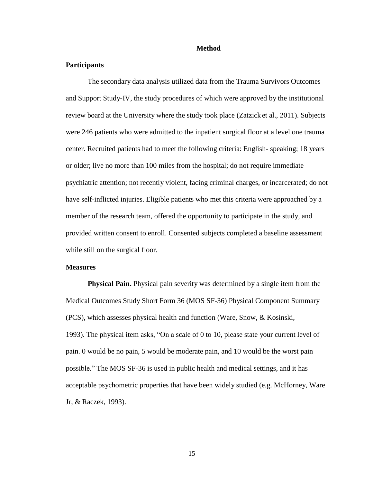#### **Method**

#### **Participants**

The secondary data analysis utilized data from the Trauma Survivors Outcomes and Support Study-IV, the study procedures of which were approved by the institutional review board at the University where the study took place (Zatzick et al., 2011). Subjects were 246 patients who were admitted to the inpatient surgical floor at a level one trauma center. Recruited patients had to meet the following criteria: English- speaking; 18 years or older; live no more than 100 miles from the hospital; do not require immediate psychiatric attention; not recently violent, facing criminal charges, or incarcerated; do not have self-inflicted injuries. Eligible patients who met this criteria were approached by a member of the research team, offered the opportunity to participate in the study, and provided written consent to enroll. Consented subjects completed a baseline assessment while still on the surgical floor.

#### **Measures**

**Physical Pain.** Physical pain severity was determined by a single item from the Medical Outcomes Study Short Form 36 (MOS SF-36) Physical Component Summary (PCS), which assesses physical health and function (Ware, Snow, & Kosinski, 1993). The physical item asks, "On a scale of 0 to 10, please state your current level of pain. 0 would be no pain, 5 would be moderate pain, and 10 would be the worst pain possible." The MOS SF-36 is used in public health and medical settings, and it has acceptable psychometric properties that have been widely studied (e.g. McHorney, Ware Jr, & Raczek, 1993).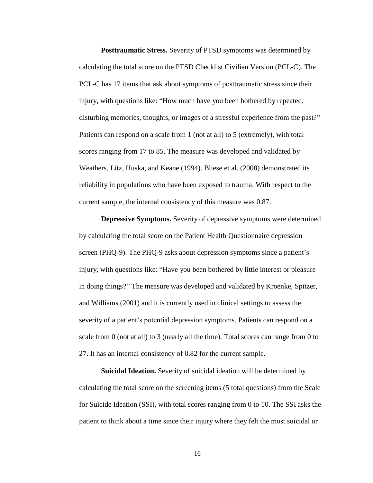**Posttraumatic Stress.** Severity of PTSD symptoms was determined by calculating the total score on the PTSD Checklist Civilian Version (PCL-C). The PCL-C has 17 items that ask about symptoms of posttraumatic stress since their injury, with questions like: "How much have you been bothered by repeated, disturbing memories, thoughts, or images of a stressful experience from the past?" Patients can respond on a scale from 1 (not at all) to 5 (extremely), with total scores ranging from 17 to 85. The measure was developed and validated by Weathers, Litz, Huska, and Keane (1994). Bliese et al. (2008) demonstrated its reliability in populations who have been exposed to trauma. With respect to the current sample, the internal consistency of this measure was 0.87.

**Depressive Symptoms.** Severity of depressive symptoms were determined by calculating the total score on the Patient Health Questionnaire depression screen (PHQ-9). The PHQ-9 asks about depression symptoms since a patient's injury, with questions like: "Have you been bothered by little interest or pleasure in doing things?" The measure was developed and validated by Kroenke, Spitzer, and Williams (2001) and it is currently used in clinical settings to assess the severity of a patient's potential depression symptoms. Patients can respond on a scale from 0 (not at all) to 3 (nearly all the time). Total scores can range from 0 to 27. It has an internal consistency of 0.82 for the current sample.

**Suicidal Ideation.** Severity of suicidal ideation will be determined by calculating the total score on the screening items (5 total questions) from the Scale for Suicide Ideation (SSI), with total scores ranging from 0 to 10. The SSI asks the patient to think about a time since their injury where they felt the most suicidal or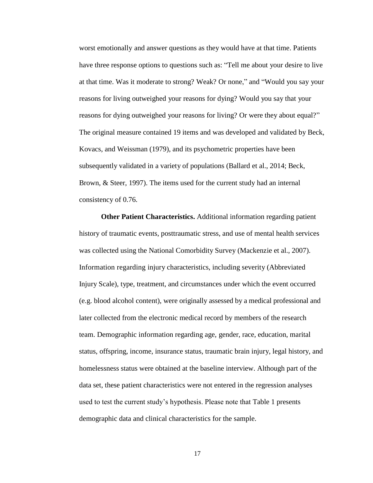worst emotionally and answer questions as they would have at that time. Patients have three response options to questions such as: "Tell me about your desire to live at that time. Was it moderate to strong? Weak? Or none," and "Would you say your reasons for living outweighed your reasons for dying? Would you say that your reasons for dying outweighed your reasons for living? Or were they about equal?" The original measure contained 19 items and was developed and validated by Beck, Kovacs, and Weissman (1979), and its psychometric properties have been subsequently validated in a variety of populations (Ballard et al., 2014; Beck, Brown, & Steer, 1997). The items used for the current study had an internal consistency of 0.76.

**Other Patient Characteristics.** Additional information regarding patient history of traumatic events, posttraumatic stress, and use of mental health services was collected using the National Comorbidity Survey (Mackenzie et al., 2007). Information regarding injury characteristics, including severity (Abbreviated Injury Scale), type, treatment, and circumstances under which the event occurred (e.g. blood alcohol content), were originally assessed by a medical professional and later collected from the electronic medical record by members of the research team. Demographic information regarding age, gender, race, education, marital status, offspring, income, insurance status, traumatic brain injury, legal history, and homelessness status were obtained at the baseline interview. Although part of the data set, these patient characteristics were not entered in the regression analyses used to test the current study's hypothesis. Please note that Table 1 presents demographic data and clinical characteristics for the sample.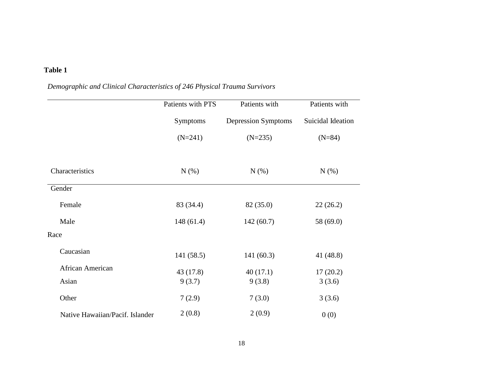# **Table 1**

# *Demographic and Clinical Characteristics of 246 Physical Trauma Survivors*

|                                 | Patients with PTS | Patients with       | Patients with     |
|---------------------------------|-------------------|---------------------|-------------------|
|                                 | Symptoms          | Depression Symptoms | Suicidal Ideation |
|                                 | $(N=241)$         | $(N=235)$           | $(N=84)$          |
| Characteristics                 | N(%)              | $N(\%)$             | $N(\%)$           |
| Gender                          |                   |                     |                   |
| Female                          | 83 (34.4)         | 82 (35.0)           | 22(26.2)          |
| Male                            | 148(61.4)         | 142(60.7)           | 58 (69.0)         |
| Race                            |                   |                     |                   |
| Caucasian                       | 141 (58.5)        | 141(60.3)           | 41 (48.8)         |
| African American                | 43 (17.8)         | 40(17.1)            | 17(20.2)          |
| Asian                           | 9(3.7)            | 9(3.8)              | 3(3.6)            |
| Other                           | 7(2.9)            | 7(3.0)              | 3(3.6)            |
| Native Hawaiian/Pacif. Islander | 2(0.8)            | 2(0.9)              | 0(0)              |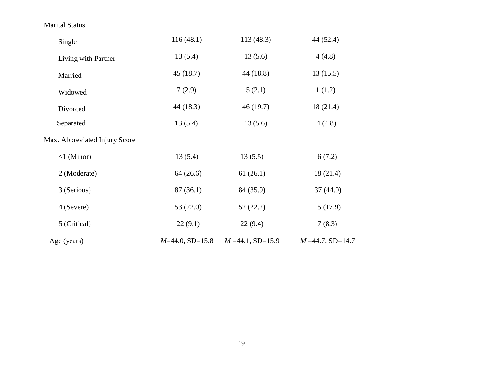Marital Status

| Single                        | 116(48.1)         | 113 (48.3)           | 44 (52.4)            |
|-------------------------------|-------------------|----------------------|----------------------|
| Living with Partner           | 13(5.4)           | 13(5.6)              | 4(4.8)               |
| Married                       | 45(18.7)          | 44 (18.8)            | 13(15.5)             |
| Widowed                       | 7(2.9)            | 5(2.1)               | 1(1.2)               |
| Divorced                      | 44 (18.3)         | 46(19.7)             | 18(21.4)             |
| Separated                     | 13(5.4)           | 13(5.6)              | 4(4.8)               |
| Max. Abbreviated Injury Score |                   |                      |                      |
| $\leq$ 1 (Minor)              | 13(5.4)           | 13(5.5)              | 6(7.2)               |
| 2 (Moderate)                  | 64(26.6)          | 61(26.1)             | 18(21.4)             |
| 3 (Serious)                   | 87(36.1)          | 84 (35.9)            | 37(44.0)             |
| 4 (Severe)                    | 53 $(22.0)$       | 52(22.2)             | 15(17.9)             |
| 5 (Critical)                  | 22(9.1)           | 22(9.4)              | 7(8.3)               |
| Age (years)                   | $M=44.0, SD=15.8$ | $M = 44.1$ , SD=15.9 | $M = 44.7$ , SD=14.7 |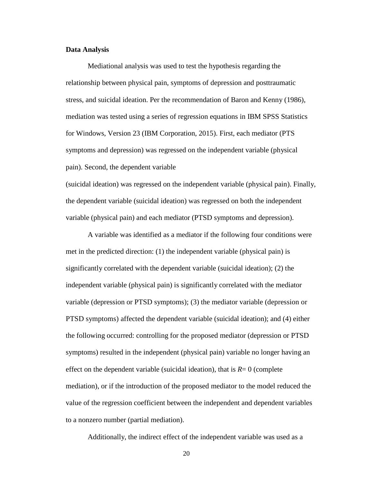#### **Data Analysis**

Mediational analysis was used to test the hypothesis regarding the relationship between physical pain, symptoms of depression and posttraumatic stress, and suicidal ideation. Per the recommendation of Baron and Kenny (1986), mediation was tested using a series of regression equations in IBM SPSS Statistics for Windows, Version 23 (IBM Corporation, 2015). First, each mediator (PTS symptoms and depression) was regressed on the independent variable (physical pain). Second, the dependent variable

(suicidal ideation) was regressed on the independent variable (physical pain). Finally, the dependent variable (suicidal ideation) was regressed on both the independent variable (physical pain) and each mediator (PTSD symptoms and depression).

A variable was identified as a mediator if the following four conditions were met in the predicted direction: (1) the independent variable (physical pain) is significantly correlated with the dependent variable (suicidal ideation); (2) the independent variable (physical pain) is significantly correlated with the mediator variable (depression or PTSD symptoms); (3) the mediator variable (depression or PTSD symptoms) affected the dependent variable (suicidal ideation); and (4) either the following occurred: controlling for the proposed mediator (depression or PTSD symptoms) resulted in the independent (physical pain) variable no longer having an effect on the dependent variable (suicidal ideation), that is  $R=0$  (complete mediation), or if the introduction of the proposed mediator to the model reduced the value of the regression coefficient between the independent and dependent variables to a nonzero number (partial mediation).

Additionally, the indirect effect of the independent variable was used as a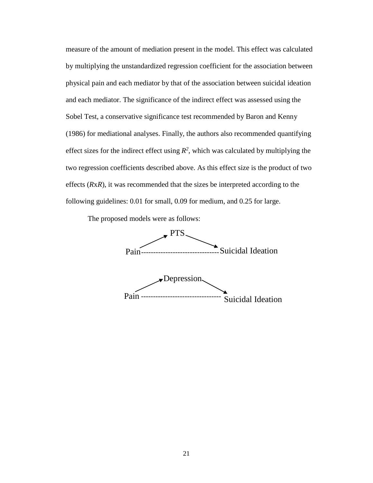measure of the amount of mediation present in the model. This effect was calculated by multiplying the unstandardized regression coefficient for the association between physical pain and each mediator by that of the association between suicidal ideation and each mediator. The significance of the indirect effect was assessed using the Sobel Test, a conservative significance test recommended by Baron and Kenny (1986) for mediational analyses. Finally, the authors also recommended quantifying effect sizes for the indirect effect using  $R^2$ , which was calculated by multiplying the two regression coefficients described above. As this effect size is the product of two effects (*R*x*R*), it was recommended that the sizes be interpreted according to the following guidelines: 0.01 for small, 0.09 for medium, and 0.25 for large.

The proposed models were as follows:

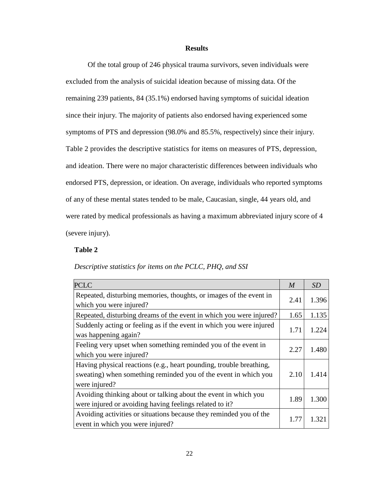#### **Results**

Of the total group of 246 physical trauma survivors, seven individuals were excluded from the analysis of suicidal ideation because of missing data. Of the remaining 239 patients, 84 (35.1%) endorsed having symptoms of suicidal ideation since their injury. The majority of patients also endorsed having experienced some symptoms of PTS and depression (98.0% and 85.5%, respectively) since their injury. Table 2 provides the descriptive statistics for items on measures of PTS, depression, and ideation. There were no major characteristic differences between individuals who endorsed PTS, depression, or ideation. On average, individuals who reported symptoms of any of these mental states tended to be male, Caucasian, single, 44 years old, and were rated by medical professionals as having a maximum abbreviated injury score of 4 (severe injury).

#### **Table 2**

#### *Descriptive statistics for items on the PCLC, PHQ, and SSI*

| <b>PCLC</b>                                                                                                                                             | $\boldsymbol{M}$ | SD    |
|---------------------------------------------------------------------------------------------------------------------------------------------------------|------------------|-------|
| Repeated, disturbing memories, thoughts, or images of the event in<br>which you were injured?                                                           | 2.41             | 1.396 |
| Repeated, disturbing dreams of the event in which you were injured?                                                                                     | 1.65             | 1.135 |
| Suddenly acting or feeling as if the event in which you were injured<br>was happening again?                                                            | 1.71             | 1.224 |
| Feeling very upset when something reminded you of the event in<br>which you were injured?                                                               | 2.27             | 1.480 |
| Having physical reactions (e.g., heart pounding, trouble breathing,<br>sweating) when something reminded you of the event in which you<br>were injured? | 2.10             | 1.414 |
| Avoiding thinking about or talking about the event in which you<br>were injured or avoiding having feelings related to it?                              | 1.89             | 1.300 |
| Avoiding activities or situations because they reminded you of the<br>event in which you were injured?                                                  | 1.77             | 1.321 |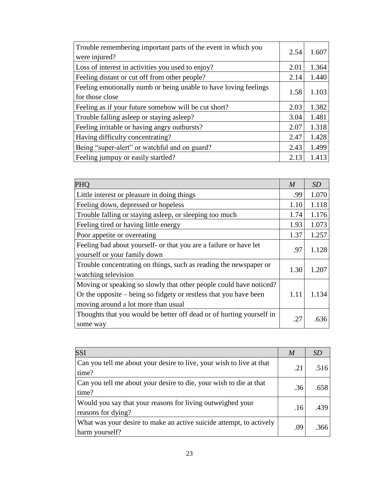| Trouble remembering important parts of the event in which you<br>were injured?      | 2.54 | 1.607 |
|-------------------------------------------------------------------------------------|------|-------|
| Loss of interest in activities you used to enjoy?                                   | 2.01 | 1.364 |
| Feeling distant or cut off from other people?                                       | 2.14 | 1.440 |
| Feeling emotionally numb or being unable to have loving feelings<br>for those close | 1.58 | 1.103 |
| Feeling as if your future somehow will be cut short?                                | 2.03 | 1.382 |
| Trouble falling asleep or staying asleep?                                           | 3.04 | 1.481 |
| Feeling irritable or having angry outbursts?                                        | 2.07 | 1.318 |
| Having difficulty concentrating?                                                    | 2.47 | 1.428 |
| Being "super-alert" or watchful and on guard?                                       | 2.43 | 1.499 |
| Feeling jumpuy or easily startled?                                                  | 2.13 | 1.413 |

| <b>PHO</b>                                                                                                                                                                     | $\boldsymbol{M}$ | SD    |
|--------------------------------------------------------------------------------------------------------------------------------------------------------------------------------|------------------|-------|
| Little interest or pleasure in doing things                                                                                                                                    | .99              | 1.070 |
| Feeling down, depressed or hopeless                                                                                                                                            | 1.10             | 1.118 |
| Trouble falling or staying asleep, or sleeping too much                                                                                                                        | 1.74             | 1.176 |
| Feeling tired or having little energy                                                                                                                                          | 1.93             | 1.073 |
| Poor appetite or overeating                                                                                                                                                    | 1.37             | 1.257 |
| Feeling bad about yourself- or that you are a failure or have let<br>yourself or your family down                                                                              | .97              | 1.128 |
| Trouble concentrating on things, such as reading the newspaper or<br>watching television                                                                                       | 1.30             | 1.207 |
| Moving or speaking so slowly that other people could have noticed?<br>Or the opposite – being so fidgety or restless that you have been<br>moving around a lot more than usual | 1.11             | 1.134 |
| Thoughts that you would be better off dead or of hurting yourself in<br>some way                                                                                               | .27              | .636  |

| <b>SSI</b>                                                                            | M   | <i>SD</i> |
|---------------------------------------------------------------------------------------|-----|-----------|
| Can you tell me about your desire to live, your wish to live at that<br>time?         | .21 | .516      |
| Can you tell me about your desire to die, your wish to die at that<br>time?           | .36 | .658      |
| Would you say that your reasons for living outweighed your<br>reasons for dying?      | .16 | .439      |
| What was your desire to make an active suicide attempt, to actively<br>harm yourself? | .09 | .366      |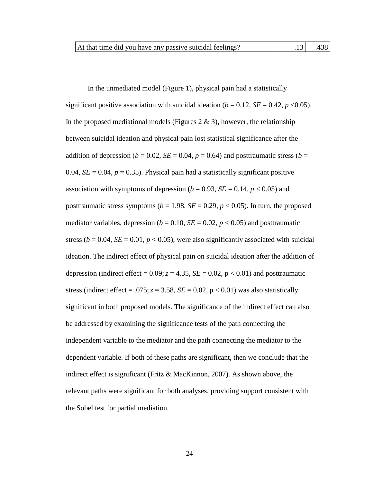| At that time did you have any passive suicidal feelings? |  |  |  | $.13$ $.438$ |
|----------------------------------------------------------|--|--|--|--------------|
|----------------------------------------------------------|--|--|--|--------------|

In the unmediated model (Figure 1), physical pain had a statistically significant positive association with suicidal ideation ( $b = 0.12$ ,  $SE = 0.42$ ,  $p < 0.05$ ). In the proposed mediational models (Figures 2  $\&$  3), however, the relationship between suicidal ideation and physical pain lost statistical significance after the addition of depression ( $b = 0.02$ ,  $SE = 0.04$ ,  $p = 0.64$ ) and posttraumatic stress ( $b =$ 0.04,  $SE = 0.04$ ,  $p = 0.35$ ). Physical pain had a statistically significant positive association with symptoms of depression ( $b = 0.93$ ,  $SE = 0.14$ ,  $p < 0.05$ ) and posttraumatic stress symptoms ( $b = 1.98$ ,  $SE = 0.29$ ,  $p < 0.05$ ). In turn, the proposed mediator variables, depression ( $b = 0.10$ ,  $SE = 0.02$ ,  $p < 0.05$ ) and posttraumatic stress ( $b = 0.04$ ,  $SE = 0.01$ ,  $p < 0.05$ ), were also significantly associated with suicidal ideation. The indirect effect of physical pain on suicidal ideation after the addition of depression (indirect effect =  $0.09$ ;  $z = 4.35$ ,  $SE = 0.02$ ,  $p < 0.01$ ) and posttraumatic stress (indirect effect = .075;  $z = 3.58$ ,  $SE = 0.02$ ,  $p < 0.01$ ) was also statistically significant in both proposed models. The significance of the indirect effect can also be addressed by examining the significance tests of the path connecting the independent variable to the mediator and the path connecting the mediator to the dependent variable. If both of these paths are significant, then we conclude that the indirect effect is significant (Fritz & MacKinnon, 2007). As shown above, the relevant paths were significant for both analyses, providing support consistent with the Sobel test for partial mediation.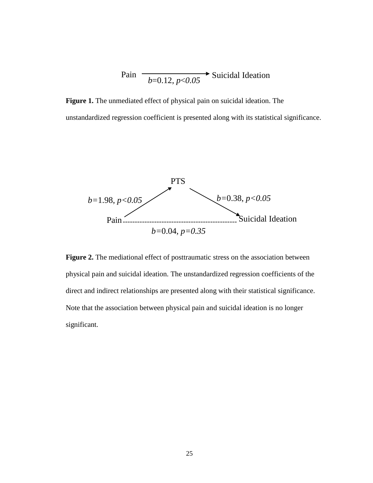$$
Pair\n \begin{array}{c}\n \stackrel{\text{1.1}}{=} \text{0.12, } p < 0.05\n \end{array}
$$
\n $Suicial Identification$ 

**Figure 1.** The unmediated effect of physical pain on suicidal ideation. The unstandardized regression coefficient is presented along with its statistical significance.



**Figure 2.** The mediational effect of posttraumatic stress on the association between physical pain and suicidal ideation. The unstandardized regression coefficients of the direct and indirect relationships are presented along with their statistical significance. Note that the association between physical pain and suicidal ideation is no longer significant.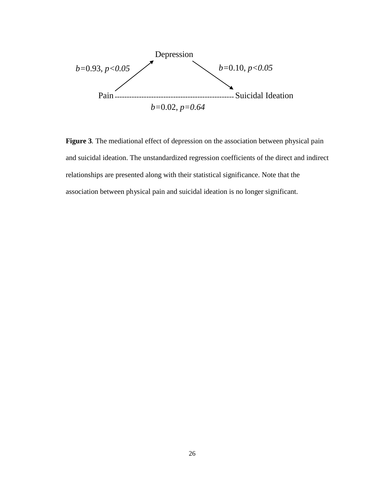

**Figure 3***.* The mediational effect of depression on the association between physical pain and suicidal ideation. The unstandardized regression coefficients of the direct and indirect relationships are presented along with their statistical significance. Note that the association between physical pain and suicidal ideation is no longer significant.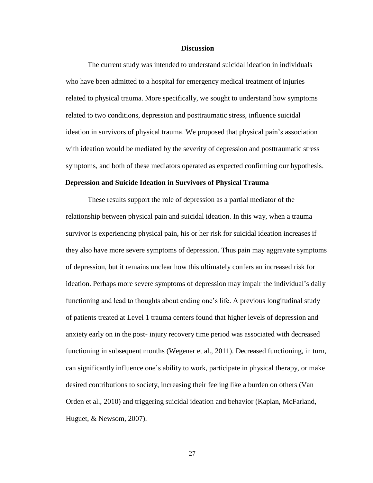#### **Discussion**

The current study was intended to understand suicidal ideation in individuals who have been admitted to a hospital for emergency medical treatment of injuries related to physical trauma. More specifically, we sought to understand how symptoms related to two conditions, depression and posttraumatic stress, influence suicidal ideation in survivors of physical trauma. We proposed that physical pain's association with ideation would be mediated by the severity of depression and posttraumatic stress symptoms, and both of these mediators operated as expected confirming our hypothesis.

#### **Depression and Suicide Ideation in Survivors of Physical Trauma**

These results support the role of depression as a partial mediator of the relationship between physical pain and suicidal ideation. In this way, when a trauma survivor is experiencing physical pain, his or her risk for suicidal ideation increases if they also have more severe symptoms of depression. Thus pain may aggravate symptoms of depression, but it remains unclear how this ultimately confers an increased risk for ideation. Perhaps more severe symptoms of depression may impair the individual's daily functioning and lead to thoughts about ending one's life. A previous longitudinal study of patients treated at Level 1 trauma centers found that higher levels of depression and anxiety early on in the post- injury recovery time period was associated with decreased functioning in subsequent months (Wegener et al., 2011). Decreased functioning, in turn, can significantly influence one's ability to work, participate in physical therapy, or make desired contributions to society, increasing their feeling like a burden on others (Van Orden et al., 2010) and triggering suicidal ideation and behavior (Kaplan, McFarland, Huguet, & Newsom, 2007).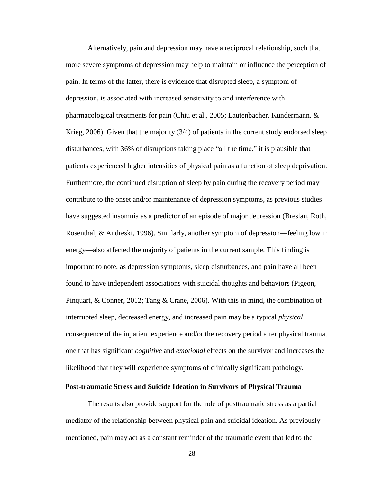Alternatively, pain and depression may have a reciprocal relationship, such that more severe symptoms of depression may help to maintain or influence the perception of pain. In terms of the latter, there is evidence that disrupted sleep, a symptom of depression, is associated with increased sensitivity to and interference with pharmacological treatments for pain (Chiu et al., 2005; Lautenbacher, Kundermann, & Krieg, 2006). Given that the majority (3/4) of patients in the current study endorsed sleep disturbances, with 36% of disruptions taking place "all the time," it is plausible that patients experienced higher intensities of physical pain as a function of sleep deprivation. Furthermore, the continued disruption of sleep by pain during the recovery period may contribute to the onset and/or maintenance of depression symptoms, as previous studies have suggested insomnia as a predictor of an episode of major depression (Breslau, Roth, Rosenthal, & Andreski, 1996). Similarly, another symptom of depression—feeling low in energy—also affected the majority of patients in the current sample. This finding is important to note, as depression symptoms, sleep disturbances, and pain have all been found to have independent associations with suicidal thoughts and behaviors (Pigeon, Pinquart, & Conner, 2012; Tang & Crane, 2006). With this in mind, the combination of interrupted sleep, decreased energy, and increased pain may be a typical *physical*  consequence of the inpatient experience and/or the recovery period after physical trauma, one that has significant *cognitive* and *emotional* effects on the survivor and increases the likelihood that they will experience symptoms of clinically significant pathology.

#### **Post-traumatic Stress and Suicide Ideation in Survivors of Physical Trauma**

The results also provide support for the role of posttraumatic stress as a partial mediator of the relationship between physical pain and suicidal ideation. As previously mentioned, pain may act as a constant reminder of the traumatic event that led to the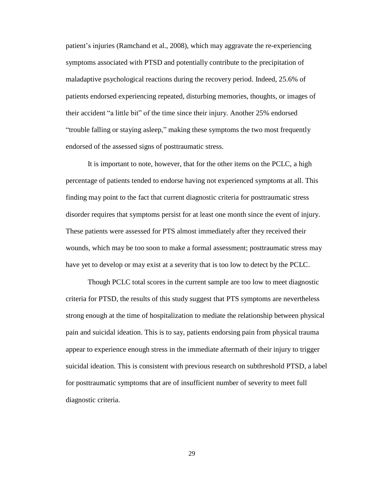patient's injuries (Ramchand et al., 2008), which may aggravate the re-experiencing symptoms associated with PTSD and potentially contribute to the precipitation of maladaptive psychological reactions during the recovery period. Indeed, 25.6% of patients endorsed experiencing repeated, disturbing memories, thoughts, or images of their accident "a little bit" of the time since their injury. Another 25% endorsed "trouble falling or staying asleep," making these symptoms the two most frequently endorsed of the assessed signs of posttraumatic stress.

It is important to note, however, that for the other items on the PCLC, a high percentage of patients tended to endorse having not experienced symptoms at all. This finding may point to the fact that current diagnostic criteria for posttraumatic stress disorder requires that symptoms persist for at least one month since the event of injury. These patients were assessed for PTS almost immediately after they received their wounds, which may be too soon to make a formal assessment; posttraumatic stress may have yet to develop or may exist at a severity that is too low to detect by the PCLC.

Though PCLC total scores in the current sample are too low to meet diagnostic criteria for PTSD, the results of this study suggest that PTS symptoms are nevertheless strong enough at the time of hospitalization to mediate the relationship between physical pain and suicidal ideation. This is to say, patients endorsing pain from physical trauma appear to experience enough stress in the immediate aftermath of their injury to trigger suicidal ideation. This is consistent with previous research on subthreshold PTSD, a label for posttraumatic symptoms that are of insufficient number of severity to meet full diagnostic criteria.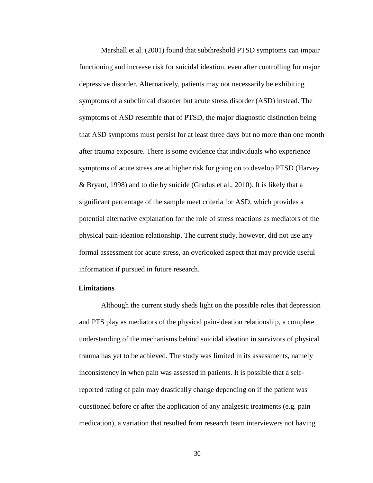Marshall et al. (2001) found that subthreshold PTSD symptoms can impair functioning and increase risk for suicidal ideation, even after controlling for major depressive disorder. Alternatively, patients may not necessarily be exhibiting symptoms of a subclinical disorder but acute stress disorder (ASD) instead. The symptoms of ASD resemble that of PTSD, the major diagnostic distinction being that ASD symptoms must persist for at least three days but no more than one month after trauma exposure. There is some evidence that individuals who experience symptoms of acute stress are at higher risk for going on to develop PTSD (Harvey & Bryant, 1998) and to die by suicide (Gradus et al., 2010). It is likely that a significant percentage of the sample meet criteria for ASD, which provides a potential alternative explanation for the role of stress reactions as mediators of the physical pain-ideation relationship. The current study, however, did not use any formal assessment for acute stress, an overlooked aspect that may provide useful information if pursued in future research.

#### **Limitations**

Although the current study sheds light on the possible roles that depression and PTS play as mediators of the physical pain-ideation relationship, a complete understanding of the mechanisms behind suicidal ideation in survivors of physical trauma has yet to be achieved. The study was limited in its assessments, namely inconsistency in when pain was assessed in patients. It is possible that a selfreported rating of pain may drastically change depending on if the patient was questioned before or after the application of any analgesic treatments (e.g. pain medication), a variation that resulted from research team interviewers not having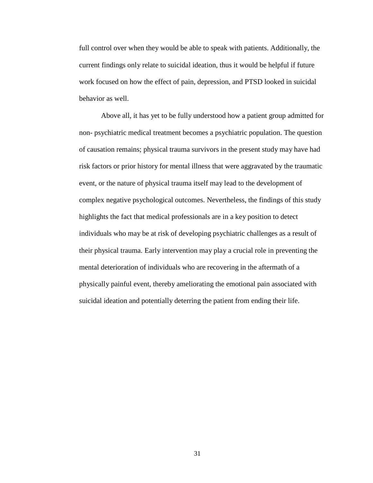full control over when they would be able to speak with patients. Additionally, the current findings only relate to suicidal ideation, thus it would be helpful if future work focused on how the effect of pain, depression, and PTSD looked in suicidal behavior as well.

Above all, it has yet to be fully understood how a patient group admitted for non- psychiatric medical treatment becomes a psychiatric population. The question of causation remains; physical trauma survivors in the present study may have had risk factors or prior history for mental illness that were aggravated by the traumatic event, or the nature of physical trauma itself may lead to the development of complex negative psychological outcomes. Nevertheless, the findings of this study highlights the fact that medical professionals are in a key position to detect individuals who may be at risk of developing psychiatric challenges as a result of their physical trauma. Early intervention may play a crucial role in preventing the mental deterioration of individuals who are recovering in the aftermath of a physically painful event, thereby ameliorating the emotional pain associated with suicidal ideation and potentially deterring the patient from ending their life.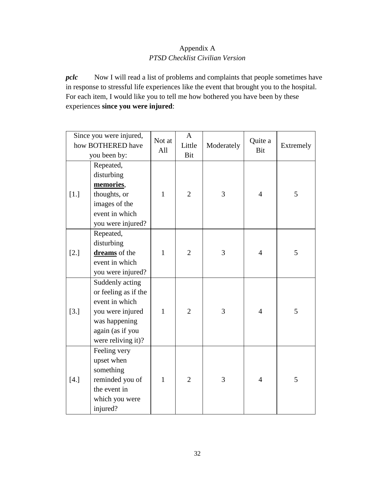# Appendix A *PTSD Checklist Civilian Version*

*pclc* Now I will read a list of problems and complaints that people sometimes have in response to stressful life experiences like the event that brought you to the hospital. For each item, I would like you to tell me how bothered you have been by these experiences **since you were injured**:

|        | Since you were injured,<br>how BOTHERED have<br>you been by:                                                                             | Not at<br>All | $\mathbf{A}$<br>Little<br>Bit | Moderately | Quite a<br>Bit | Extremely |
|--------|------------------------------------------------------------------------------------------------------------------------------------------|---------------|-------------------------------|------------|----------------|-----------|
| $[1.]$ | Repeated,<br>disturbing<br>memories,<br>thoughts, or<br>images of the<br>event in which<br>you were injured?                             | $\mathbf{1}$  | $\overline{2}$                | 3          | $\overline{4}$ | 5         |
| $[2.]$ | Repeated,<br>disturbing<br>dreams of the<br>event in which<br>you were injured?                                                          | $\mathbf{1}$  | $\overline{2}$                | 3          | $\overline{4}$ | 5         |
| $[3.]$ | Suddenly acting<br>or feeling as if the<br>event in which<br>you were injured<br>was happening<br>again (as if you<br>were reliving it)? | $\mathbf{1}$  | $\overline{2}$                | 3          | $\overline{4}$ | 5         |
| $[4.]$ | Feeling very<br>upset when<br>something<br>reminded you of<br>the event in<br>which you were<br>injured?                                 | $\mathbf{1}$  | $\overline{2}$                | 3          | $\overline{4}$ | 5         |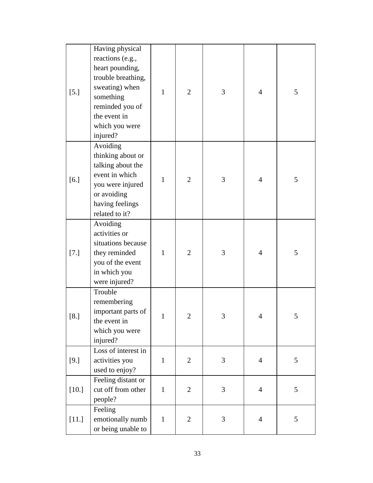| $[5.]$  | Having physical<br>reactions (e.g.,<br>heart pounding,<br>trouble breathing,<br>sweating) when<br>something<br>reminded you of<br>the event in<br>which you were<br>injured? | $\mathbf{1}$ | $\overline{2}$ | 3 | 4              | 5 |
|---------|------------------------------------------------------------------------------------------------------------------------------------------------------------------------------|--------------|----------------|---|----------------|---|
| [6.]    | Avoiding<br>thinking about or<br>talking about the<br>event in which<br>you were injured<br>or avoiding<br>having feelings<br>related to it?                                 | $\mathbf{1}$ | $\overline{2}$ | 3 | 4              | 5 |
| $[7.]$  | Avoiding<br>activities or<br>situations because<br>they reminded<br>you of the event<br>in which you<br>were injured?                                                        | $\mathbf{1}$ | $\overline{2}$ | 3 | $\overline{4}$ | 5 |
| $[8.]$  | Trouble<br>remembering<br>important parts of<br>the event in<br>which you were<br>injured?                                                                                   | 1            | $\overline{2}$ | 3 | 4              | 5 |
| $[9.]$  | Loss of interest in<br>activities you<br>used to enjoy?                                                                                                                      | $\mathbf{1}$ | $\overline{2}$ | 3 | $\overline{4}$ | 5 |
| $[10.]$ | Feeling distant or<br>cut off from other<br>people?                                                                                                                          | $\mathbf{1}$ | $\overline{2}$ | 3 | $\overline{4}$ | 5 |
| $[11.]$ | Feeling<br>emotionally numb<br>or being unable to                                                                                                                            | $\mathbf{1}$ | $\mathbf{2}$   | 3 | $\overline{4}$ | 5 |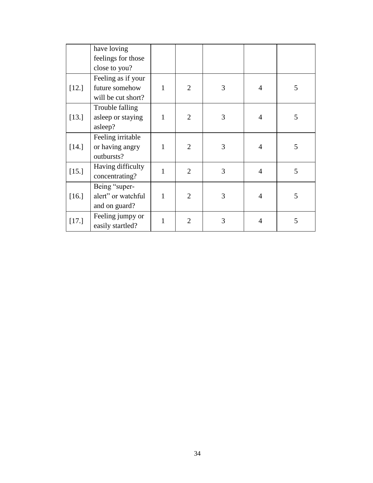|         | have loving        |   |                |   |                |   |
|---------|--------------------|---|----------------|---|----------------|---|
|         | feelings for those |   |                |   |                |   |
|         | close to you?      |   |                |   |                |   |
|         | Feeling as if your |   |                |   |                |   |
| $[12.]$ | future somehow     | 1 | $\overline{2}$ | 3 | $\overline{4}$ | 5 |
|         | will be cut short? |   |                |   |                |   |
|         | Trouble falling    |   |                |   |                |   |
| $[13.]$ | asleep or staying  | 1 | $\overline{2}$ | 3 | $\overline{4}$ | 5 |
|         | asleep?            |   |                |   |                |   |
|         | Feeling irritable  |   |                |   |                |   |
| $[14.]$ | or having angry    | 1 | $\overline{2}$ | 3 | $\overline{4}$ | 5 |
|         | outbursts?         |   |                |   |                |   |
| [15.]   | Having difficulty  | 1 | $\overline{2}$ | 3 | $\overline{4}$ | 5 |
|         | concentrating?     |   |                |   |                |   |
|         | Being "super-      |   |                |   |                |   |
| [16.]   | alert" or watchful | 1 | $\overline{2}$ | 3 | $\overline{4}$ | 5 |
|         | and on guard?      |   |                |   |                |   |
|         | Feeling jumpy or   | 1 | $\overline{2}$ | 3 | $\overline{4}$ | 5 |
| [17.]   | easily startled?   |   |                |   |                |   |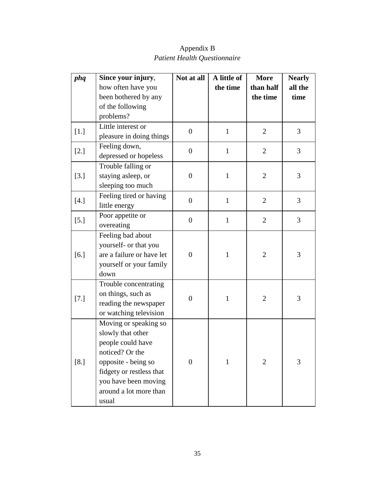| phq    | Since your injury,        | Not at all       | A little of  | <b>More</b>    | <b>Nearly</b> |
|--------|---------------------------|------------------|--------------|----------------|---------------|
|        | how often have you        |                  | the time     | than half      | all the       |
|        | been bothered by any      |                  |              | the time       | time          |
|        | of the following          |                  |              |                |               |
|        | problems?                 |                  |              |                |               |
|        | Little interest or        | $\boldsymbol{0}$ | $\mathbf{1}$ | $\overline{2}$ | 3             |
| $[1.]$ | pleasure in doing things  |                  |              |                |               |
|        | Feeling down,             | $\overline{0}$   | $\mathbf{1}$ | $\overline{2}$ | 3             |
| $[2.]$ | depressed or hopeless     |                  |              |                |               |
|        | Trouble falling or        |                  |              |                |               |
| $[3.]$ | staying asleep, or        | $\boldsymbol{0}$ | $\mathbf{1}$ | $\overline{2}$ | 3             |
|        | sleeping too much         |                  |              |                |               |
|        | Feeling tired or having   | $\overline{0}$   |              |                | 3             |
| $[4.]$ | little energy             |                  | $\mathbf{1}$ | $\overline{2}$ |               |
|        | Poor appetite or          | $\overline{0}$   | $\mathbf{1}$ | $\overline{2}$ | 3             |
| $[5.]$ | overeating                |                  |              |                |               |
|        | Feeling bad about         |                  |              |                |               |
|        | yourself- or that you     |                  |              |                |               |
| [6.]   | are a failure or have let | $\overline{0}$   | $\mathbf{1}$ | $\overline{2}$ | 3             |
|        | yourself or your family   |                  |              |                |               |
|        | down                      |                  |              |                |               |
|        | Trouble concentrating     |                  |              |                |               |
| [7.]   | on things, such as        | $\boldsymbol{0}$ | $\mathbf{1}$ | $\overline{2}$ | 3             |
|        | reading the newspaper     |                  |              |                |               |
|        | or watching television    |                  |              |                |               |
|        | Moving or speaking so     |                  |              |                |               |
| [8.]   | slowly that other         |                  |              |                |               |
|        | people could have         |                  |              |                |               |
|        | noticed? Or the           |                  |              |                |               |
|        | opposite - being so       | $\boldsymbol{0}$ | $\mathbf{1}$ | $\overline{2}$ | 3             |
|        | fidgety or restless that  |                  |              |                |               |
|        | you have been moving      |                  |              |                |               |
|        | around a lot more than    |                  |              |                |               |
|        | usual                     |                  |              |                |               |

Appendix B *Patient Health Questionnaire*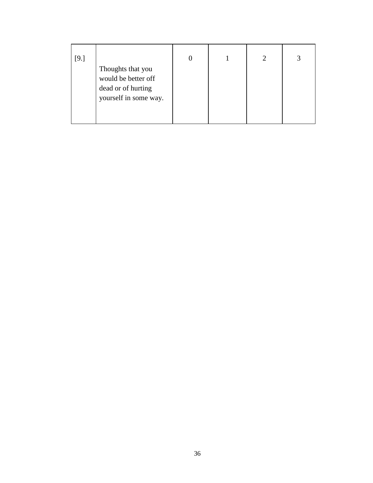| [9.] |                                                                                         | 0 | $\mathcal{D}_{\mathcal{L}}$ | 3 |
|------|-----------------------------------------------------------------------------------------|---|-----------------------------|---|
|      | Thoughts that you<br>would be better off<br>dead or of hurting<br>yourself in some way. |   |                             |   |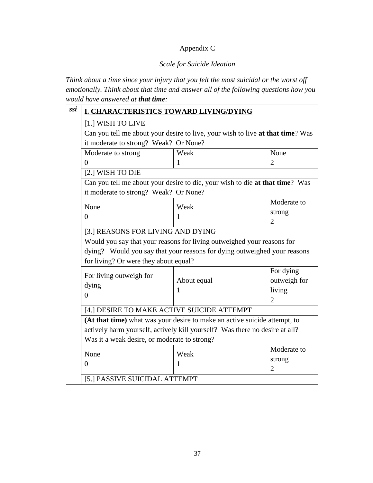# Appendix C

### *Scale for Suicide Ideation*

*Think about a time since your injury that you felt the most suicidal or the worst off emotionally. Think about that time and answer all of the following questions how you would have answered at that time:*

| <b>I. CHARACTERISTICS TOWARD LIVING/DYING</b>                                                                               |                                       |                |  |  |      |      |
|-----------------------------------------------------------------------------------------------------------------------------|---------------------------------------|----------------|--|--|------|------|
| [1.] WISH TO LIVE                                                                                                           |                                       |                |  |  |      |      |
| Can you tell me about your desire to live, your wish to live at that time? Was                                              |                                       |                |  |  |      |      |
|                                                                                                                             | it moderate to strong? Weak? Or None? |                |  |  |      |      |
| Moderate to strong                                                                                                          | Weak                                  | None           |  |  |      |      |
| $\Omega$                                                                                                                    | 1                                     | $\overline{2}$ |  |  |      |      |
| [2.] WISH TO DIE                                                                                                            |                                       |                |  |  |      |      |
| Can you tell me about your desire to die, your wish to die at that time? Was                                                |                                       |                |  |  |      |      |
| it moderate to strong? Weak? Or None?                                                                                       |                                       |                |  |  |      |      |
| None                                                                                                                        | Weak                                  | Moderate to    |  |  |      |      |
| $\theta$                                                                                                                    | 1                                     | strong         |  |  |      |      |
|                                                                                                                             |                                       | $\overline{2}$ |  |  |      |      |
| [3.] REASONS FOR LIVING AND DYING                                                                                           |                                       |                |  |  |      |      |
| Would you say that your reasons for living outweighed your reasons for                                                      |                                       |                |  |  |      |      |
| dying? Would you say that your reasons for dying outweighed your reasons                                                    |                                       |                |  |  |      |      |
|                                                                                                                             | for living? Or were they about equal? |                |  |  |      |      |
| For living outweigh for                                                                                                     |                                       | For dying      |  |  |      |      |
| dying                                                                                                                       | About equal                           | outweigh for   |  |  |      |      |
| $\theta$                                                                                                                    | $\mathbf{1}$                          | living         |  |  |      |      |
|                                                                                                                             |                                       | $\overline{2}$ |  |  |      |      |
| [4.] DESIRE TO MAKE ACTIVE SUICIDE ATTEMPT                                                                                  |                                       |                |  |  |      |      |
| (At that time) what was your desire to make an active suicide attempt, to                                                   |                                       |                |  |  |      |      |
| actively harm yourself, actively kill yourself? Was there no desire at all?<br>Was it a weak desire, or moderate to strong? |                                       |                |  |  |      |      |
|                                                                                                                             |                                       |                |  |  | None | Weak |
| $\Omega$                                                                                                                    | 1                                     | strong         |  |  |      |      |
|                                                                                                                             |                                       | $\overline{2}$ |  |  |      |      |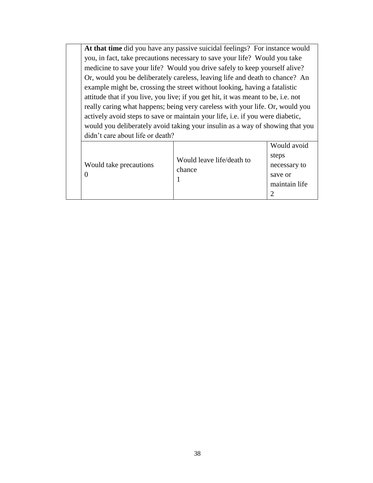**At that time** did you have any passive suicidal feelings? For instance would you, in fact, take precautions necessary to save your life? Would you take medicine to save your life? Would you drive safely to keep yourself alive? Or, would you be deliberately careless, leaving life and death to chance? An example might be, crossing the street without looking, having a fatalistic attitude that if you live, you live; if you get hit, it was meant to be, i.e. not really caring what happens; being very careless with your life. Or, would you actively avoid steps to save or maintain your life, i.e. if you were diabetic, would you deliberately avoid taking your insulin as a way of showing that you didn't care about life or death?

|  | Would take precautions | Would leave life/death to<br>chance | Would avoid<br>steps<br>necessary to<br>save or<br>maintain life |
|--|------------------------|-------------------------------------|------------------------------------------------------------------|
|--|------------------------|-------------------------------------|------------------------------------------------------------------|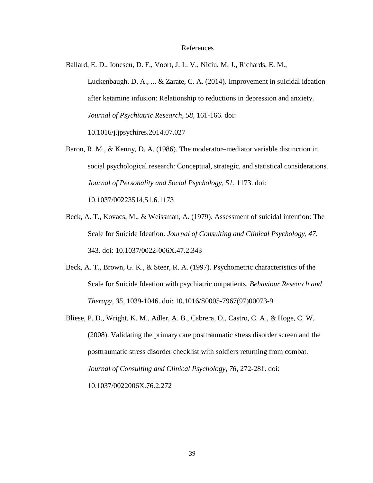#### References

Ballard, E. D., Ionescu, D. F., Voort, J. L. V., Niciu, M. J., Richards, E. M., Luckenbaugh, D. A., ... & Zarate, C. A. (2014). Improvement in suicidal ideation after ketamine infusion: Relationship to reductions in depression and anxiety. *Journal of Psychiatric Research, 58,* 161-166. doi: 10.1016/j.jpsychires.2014.07.027

Baron, R. M., & Kenny, D. A. (1986). The moderator–mediator variable distinction in social psychological research: Conceptual, strategic, and statistical considerations*. Journal of Personality and Social Psychology, 51*, 1173. doi:

10.1037/00223514.51.6.1173

- Beck, A. T., Kovacs, M., & Weissman, A. (1979). Assessment of suicidal intention: The Scale for Suicide Ideation. *Journal of Consulting and Clinical Psychology, 47*, 343. doi: 10.1037/0022-006X.47.2.343
- Beck, A. T., Brown, G. K., & Steer, R. A. (1997). Psychometric characteristics of the Scale for Suicide Ideation with psychiatric outpatients. *Behaviour Research and Therapy, 35*, 1039-1046. doi: 10.1016/S0005-7967(97)00073-9
- Bliese, P. D., Wright, K. M., Adler, A. B., Cabrera, O., Castro, C. A., & Hoge, C. W. (2008). Validating the primary care posttraumatic stress disorder screen and the posttraumatic stress disorder checklist with soldiers returning from combat. *Journal of Consulting and Clinical Psychology, 76*, 272-281. doi: 10.1037/0022006X.76.2.272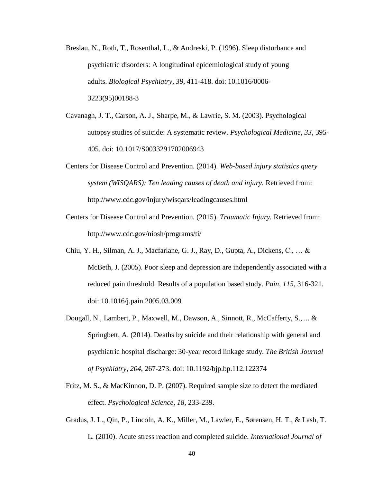- Breslau, N., Roth, T., Rosenthal, L., & Andreski, P. (1996). Sleep disturbance and psychiatric disorders: A longitudinal epidemiological study of young adults. *Biological Psychiatry*, *39*, 411-418. doi: 10.1016/0006- 3223(95)00188-3
- Cavanagh, J. T., Carson, A. J., Sharpe, M., & Lawrie, S. M. (2003). Psychological autopsy studies of suicide: A systematic review. *Psychological Medicine, 33*, 395- 405. doi: 10.1017/S0033291702006943
- Centers for Disease Control and Prevention. (2014). *Web-based injury statistics query system (WISQARS): Ten leading causes of death and injury.* Retrieved from[:](http://www.cdc.gov/injury/wisqars/leadingcauses.html) <http://www.cdc.gov/injury/wisqars/leadingcauses.html>
- Centers for Disease Control and Prevention. (2015). *Traumatic Injury.* Retrieved from: <http://www.cdc.gov/niosh/programs/ti/>
- Chiu, Y. H., Silman, A. J., Macfarlane, G. J., Ray, D., Gupta, A., Dickens, C., … & McBeth, J. (2005). Poor sleep and depression are independently associated with a reduced pain threshold. Results of a population based study. *Pain, 115*, 316-321. doi: 10.1016/j.pain.2005.03.009
- Dougall, N., Lambert, P., Maxwell, M., Dawson, A., Sinnott, R., McCafferty, S., ... & Springbett, A. (2014). Deaths by suicide and their relationship with general and psychiatric hospital discharge: 30-year record linkage study. *The British Journal of Psychiatry, 204*, 267-273. doi: 10.1192/bjp.bp.112.122374
- Fritz, M. S., & MacKinnon, D. P. (2007). Required sample size to detect the mediated effect. *Psychological Science, 18*, 233-239.
- Gradus, J. L., Qin, P., Lincoln, A. K., Miller, M., Lawler, E., Sørensen, H. T., & Lash, T. L. (2010). Acute stress reaction and completed suicide. *International Journal of*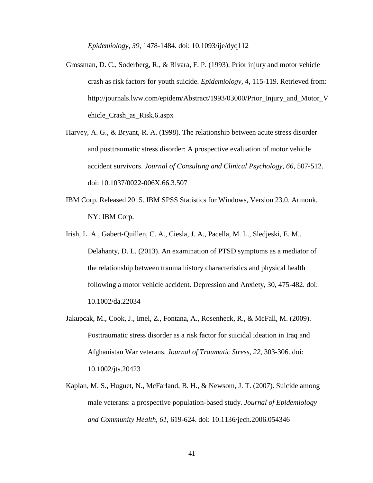*Epidemiology, 39*, 1478-1484. doi: 10.1093/ije/dyq112

- Grossman, D. C., Soderberg, R., & Rivara, F. P. (1993). Prior injury and motor vehicle crash as risk factors for youth suicide. *Epidemiology, 4*, 115-119. Retrieved from[:](http://journals.lww.com/epidem/Abstract/1993/03000/Prior_Injury_and_Motor_V) [http://journals.lww.com/epidem/Abstract/1993/03000/Prior\\_Injury\\_and\\_Motor\\_V](http://journals.lww.com/epidem/Abstract/1993/03000/Prior_Injury_and_Motor_V) ehicle\_Crash\_as\_Risk.6.aspx
- Harvey, A. G., & Bryant, R. A. (1998). The relationship between acute stress disorder and posttraumatic stress disorder: A prospective evaluation of motor vehicle accident survivors. *Journal of Consulting and Clinical Psychology, 66*, 507-512. doi: 10.1037/0022-006X.66.3.507
- IBM Corp. Released 2015. IBM SPSS Statistics for Windows, Version 23.0. Armonk, NY: IBM Corp.
- Irish, L. A., Gabert‐Quillen, C. A., Ciesla, J. A., Pacella, M. L., Sledjeski, E. M., Delahanty, D. L. (2013). An examination of PTSD symptoms as a mediator of the relationship between trauma history characteristics and physical health following a motor vehicle accident. Depression and Anxiety, 30, 475-482. doi: 10.1002/da.22034
- Jakupcak, M., Cook, J., Imel, Z., Fontana, A., Rosenheck, R., & McFall, M. (2009). Posttraumatic stress disorder as a risk factor for suicidal ideation in Iraq and Afghanistan War veterans. *Journal of Traumatic Stress, 22,* 303-306. doi: 10.1002/jts.20423
- Kaplan, M. S., Huguet, N., McFarland, B. H., & Newsom, J. T. (2007). Suicide among male veterans: a prospective population-based study. *Journal of Epidemiology and Community Health*, *61*, 619-624. doi: 10.1136/jech.2006.054346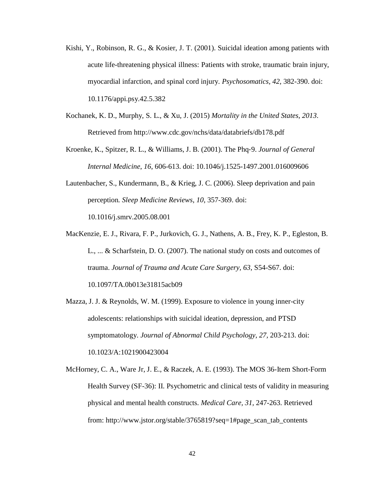- Kishi, Y., Robinson, R. G., & Kosier, J. T. (2001). Suicidal ideation among patients with acute life-threatening physical illness: Patients with stroke, traumatic brain injury, myocardial infarction, and spinal cord injury. *Psychosomatics, 42,* 382-390. doi: 10.1176/appi.psy.42.5.382
- Kochanek, K. D., Murphy, S. L., & Xu, J. (2015) *Mortality in the United States, 2013*. Retrieved from <http://www.cdc.gov/nchs/data/databriefs/db178.pdf>
- Kroenke, K., Spitzer, R. L., & Williams, J. B. (2001). The Phq‐9. *Journal of General Internal Medicine*, *16*, 606-613. doi: 10.1046/j.1525-1497.2001.016009606
- Lautenbacher, S., Kundermann, B., & Krieg, J. C. (2006). Sleep deprivation and pain perception*. Sleep Medicine Reviews*, *10*, 357-369. doi:

10.1016/j.smrv.2005.08.001

- MacKenzie, E. J., Rivara, F. P., Jurkovich, G. J., Nathens, A. B., Frey, K. P., Egleston, B. L., ... & Scharfstein, D. O. (2007). The national study on costs and outcomes of trauma. *Journal of Trauma and Acute Care Surgery, 63*, S54-S67. doi: 10.1097/TA.0b013e31815acb09
- Mazza, J. J. & Reynolds, W. M. (1999). Exposure to violence in young inner-city adolescents: relationships with suicidal ideation, depression, and PTSD symptomatology. *Journal of Abnormal Child Psychology, 27,* 203-213. doi: 10.1023/A:1021900423004
- McHorney, C. A., Ware Jr, J. E., & Raczek, A. E. (1993). The MOS 36-Item Short-Form Health Survey (SF-36): II. Psychometric and clinical tests of validity in measuring physical and mental health constructs. *Medical Care, 31,* 247-263. Retrieved from: [http://www.jstor.org/stable/3765819?seq=1#page\\_scan\\_tab\\_contents](http://www.jstor.org/stable/3765819?seq=1&page_scan_tab_contents)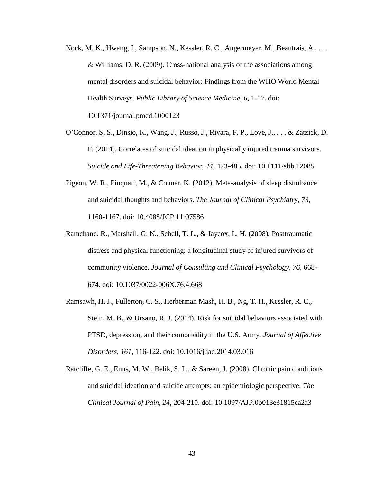- Nock, M. K., Hwang, I., Sampson, N., Kessler, R. C., Angermeyer, M., Beautrais, A., . . . & Williams, D. R. (2009). Cross-national analysis of the associations among mental disorders and suicidal behavior: Findings from the WHO World Mental Health Surveys. *Public Library of Science Medicine, 6,* 1-17. doi: 10.1371/journal.pmed.1000123
- O'Connor, S. S., Dinsio, K., Wang, J., Russo, J., Rivara, F. P., Love, J., . . . & Zatzick, D. F. (2014). Correlates of suicidal ideation in physically injured trauma survivors. *Suicide and Life-Threatening Behavior, 44,* 473-485. doi: 10.1111/sltb.12085
- Pigeon, W. R., Pinquart, M., & Conner, K. (2012). Meta-analysis of sleep disturbance and suicidal thoughts and behaviors. *The Journal of Clinical Psychiatry, 73*, 1160-1167. doi: 10.4088/JCP.11r07586
- Ramchand, R., Marshall, G. N., Schell, T. L., & Jaycox, L. H. (2008). Posttraumatic distress and physical functioning: a longitudinal study of injured survivors of community violence. *Journal of Consulting and Clinical Psychology*, *76,* 668- 674. doi: 10.1037/0022-006X.76.4.668
- Ramsawh, H. J., Fullerton, C. S., Herberman Mash, H. B., Ng, T. H., Kessler, R. C., Stein, M. B., & Ursano, R. J. (2014). Risk for suicidal behaviors associated with PTSD, depression, and their comorbidity in the U.S. Army. *Journal of Affective Disorders, 161*, 116-122. doi: 10.1016/j.jad.2014.03.016
- Ratcliffe, G. E., Enns, M. W., Belik, S. L., & Sareen, J. (2008). Chronic pain conditions and suicidal ideation and suicide attempts: an epidemiologic perspective. *The Clinical Journal of Pain, 24*, 204-210. doi: 10.1097/AJP.0b013e31815ca2a3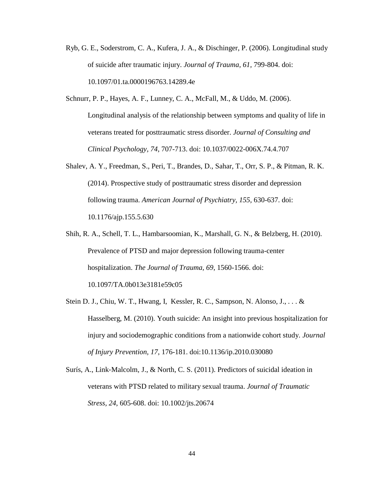- Ryb, G. E., Soderstrom, C. A., Kufera, J. A., & Dischinger, P. (2006). Longitudinal study of suicide after traumatic injury. *Journal of Trauma, 61,* 799-804. doi: 10.1097/01.ta.0000196763.14289.4e
- Schnurr, P. P., Hayes, A. F., Lunney, C. A., McFall, M., & Uddo, M. (2006). Longitudinal analysis of the relationship between symptoms and quality of life in veterans treated for posttraumatic stress disorder. *Journal of Consulting and Clinical Psychology, 74*, 707-713. doi: 10.1037/0022-006X.74.4.707
- Shalev, A. Y., Freedman, S., Peri, T., Brandes, D., Sahar, T., Orr, S. P., & Pitman, R. K. (2014). Prospective study of posttraumatic stress disorder and depression following trauma. *American Journal of Psychiatry, 155,* 630-637. doi: 10.1176/ajp.155.5.630
- Shih, R. A., Schell, T. L., Hambarsoomian, K., Marshall, G. N., & Belzberg, H. (2010). Prevalence of PTSD and major depression following trauma-center hospitalization. *The Journal of Trauma, 69*, 1560-1566. doi: 10.1097/TA.0b013e3181e59c05
- Stein D. J., Chiu, W. T., Hwang, I, Kessler, R. C., Sampson, N. Alonso, J., . . . & Hasselberg, M. (2010). Youth suicide: An insight into previous hospitalization for injury and sociodemographic conditions from a nationwide cohort study. *Journal of Injury Prevention, 17*, 176-181. doi:10.1136/ip.2010.030080
- Surís, A., Link‐Malcolm, J., & North, C. S. (2011). Predictors of suicidal ideation in veterans with PTSD related to military sexual trauma. *Journal of Traumatic Stress, 24*, 605-608. doi: 10.1002/jts.20674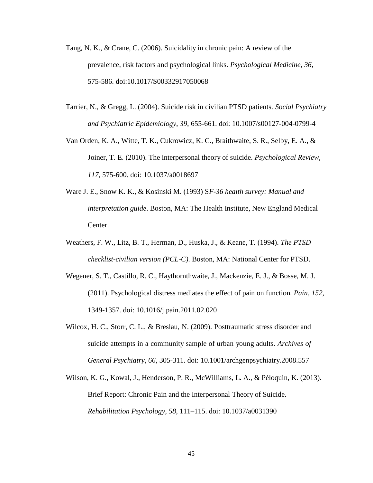- Tang, N. K., & Crane, C. (2006). Suicidality in chronic pain: A review of the prevalence, risk factors and psychological links. *Psychological Medicine, 36*, 575-586. doi:10.1017/S00332917050068
- Tarrier, N., & Gregg, L. (2004). Suicide risk in civilian PTSD patients. *Social Psychiatry and Psychiatric Epidemiology*, *39*, 655-661. doi: 10.1007/s00127-004-0799-4
- Van Orden, K. A., Witte, T. K., Cukrowicz, K. C., Braithwaite, S. R., Selby, E. A., & Joiner, T. E. (2010). The interpersonal theory of suicide. *Psychological Review, 117,* 575-600. doi: 10.1037/a0018697
- Ware J. E., Snow K. K., & Kosinski M. (1993) S*F-36 health survey: Manual and interpretation guide*. Boston, MA: The Health Institute, New England Medical Center.
- Weathers, F. W., Litz, B. T., Herman, D., Huska, J., & Keane, T. (1994). *The PTSD checklist-civilian version (PCL-C)*. Boston, MA: National Center for PTSD.
- Wegener, S. T., Castillo, R. C., Haythornthwaite, J., Mackenzie, E. J., & Bosse, M. J. (2011). Psychological distress mediates the effect of pain on function*. Pain, 152,* 1349-1357. doi: 10.1016/j.pain.2011.02.020
- Wilcox, H. C., Storr, C. L., & Breslau, N. (2009). Posttraumatic stress disorder and suicide attempts in a community sample of urban young adults. *Archives of General Psychiatry, 66,* 305-311. doi: 10.1001/archgenpsychiatry.2008.557
- Wilson, K. G., Kowal, J., Henderson, P. R., McWilliams, L. A., & Péloquin, K. (2013). Brief Report: Chronic Pain and the Interpersonal Theory of Suicide. *Rehabilitation Psychology*, *58*, 111–115. doi: 10.1037/a0031390